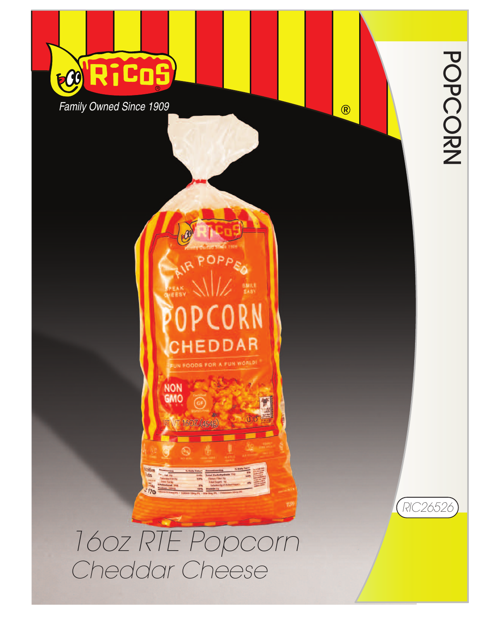